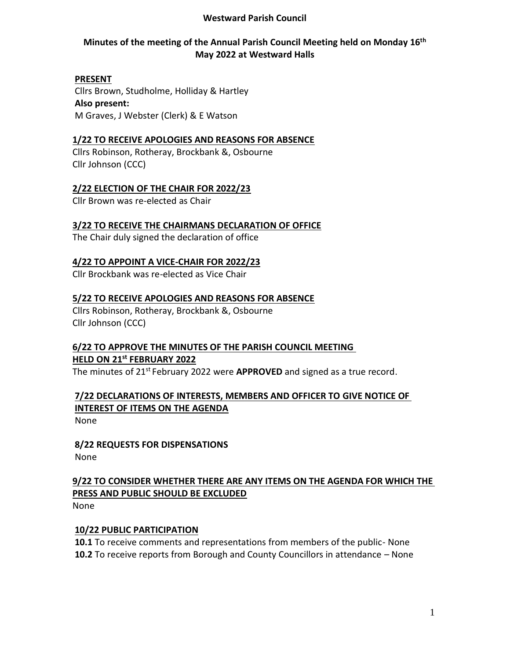### **Westward Parish Council**

## **Minutes of the meeting of the Annual Parish Council Meeting held on Monday 16th May 2022 at Westward Halls**

#### **PRESENT**

Cllrs Brown, Studholme, Holliday & Hartley **Also present:** M Graves, J Webster (Clerk) & E Watson

### **1/22 TO RECEIVE APOLOGIES AND REASONS FOR ABSENCE**

Cllrs Robinson, Rotheray, Brockbank &, Osbourne Cllr Johnson (CCC)

### **2/22 ELECTION OF THE CHAIR FOR 2022/23**

Cllr Brown was re-elected as Chair

### **3/22 TO RECEIVE THE CHAIRMANS DECLARATION OF OFFICE**

The Chair duly signed the declaration of office

### **4/22 TO APPOINT A VICE-CHAIR FOR 2022/23**

Cllr Brockbank was re-elected as Vice Chair

### **5/22 TO RECEIVE APOLOGIES AND REASONS FOR ABSENCE**

Cllrs Robinson, Rotheray, Brockbank &, Osbourne Cllr Johnson (CCC)

### **6/22 TO APPROVE THE MINUTES OF THE PARISH COUNCIL MEETING HELD ON 21st FEBRUARY 2022**

The minutes of 21st February 2022 were **APPROVED** and signed as a true record.

# **7/22 DECLARATIONS OF INTERESTS, MEMBERS AND OFFICER TO GIVE NOTICE OF INTEREST OF ITEMS ON THE AGENDA**

None

**8/22 REQUESTS FOR DISPENSATIONS** None

# **9/22 TO CONSIDER WHETHER THERE ARE ANY ITEMS ON THE AGENDA FOR WHICH THE PRESS AND PUBLIC SHOULD BE EXCLUDED**

None

### **10/22 PUBLIC PARTICIPATION**

**10.1** To receive comments and representations from members of the public- None **10.2** To receive reports from Borough and County Councillors in attendance – None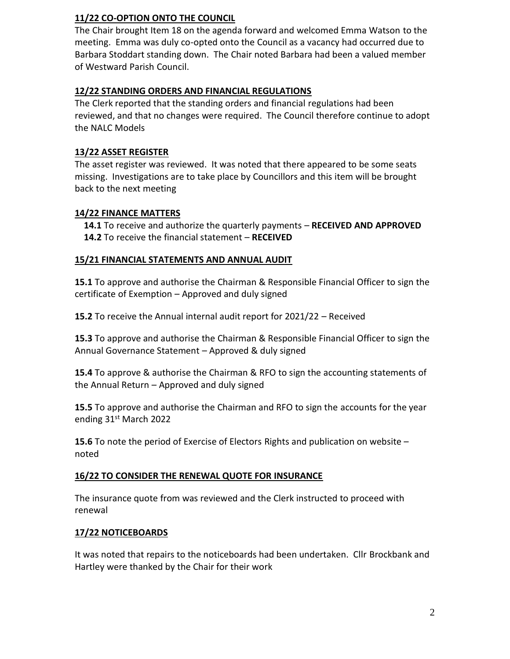# **11/22 CO-OPTION ONTO THE COUNCIL**

The Chair brought Item 18 on the agenda forward and welcomed Emma Watson to the meeting. Emma was duly co-opted onto the Council as a vacancy had occurred due to Barbara Stoddart standing down. The Chair noted Barbara had been a valued member of Westward Parish Council.

## **12/22 STANDING ORDERS AND FINANCIAL REGULATIONS**

The Clerk reported that the standing orders and financial regulations had been reviewed, and that no changes were required. The Council therefore continue to adopt the NALC Models

# **13/22 ASSET REGISTER**

The asset register was reviewed. It was noted that there appeared to be some seats missing. Investigations are to take place by Councillors and this item will be brought back to the next meeting

## **14/22 FINANCE MATTERS**

 **14.1** To receive and authorize the quarterly payments – **RECEIVED AND APPROVED 14.2** To receive the financial statement – **RECEIVED** 

## **15/21 FINANCIAL STATEMENTS AND ANNUAL AUDIT**

**15.1** To approve and authorise the Chairman & Responsible Financial Officer to sign the certificate of Exemption – Approved and duly signed

**15.2** To receive the Annual internal audit report for 2021/22 – Received

**15.3** To approve and authorise the Chairman & Responsible Financial Officer to sign the Annual Governance Statement – Approved & duly signed

**15.4** To approve & authorise the Chairman & RFO to sign the accounting statements of the Annual Return – Approved and duly signed

**15.5** To approve and authorise the Chairman and RFO to sign the accounts for the year ending 31st March 2022

**15.6** To note the period of Exercise of Electors Rights and publication on website – noted

## **16/22 TO CONSIDER THE RENEWAL QUOTE FOR INSURANCE**

The insurance quote from was reviewed and the Clerk instructed to proceed with renewal

# **17/22 NOTICEBOARDS**

It was noted that repairs to the noticeboards had been undertaken. Cllr Brockbank and Hartley were thanked by the Chair for their work